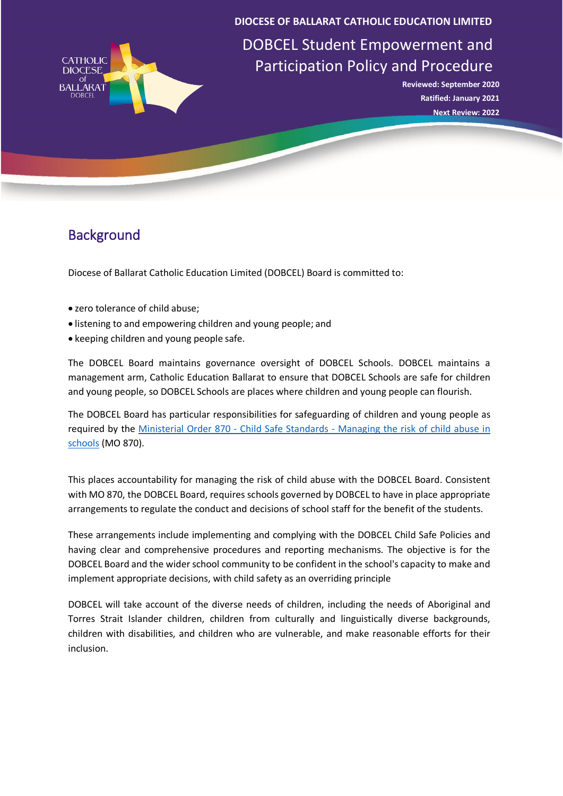

**DIOCESE OF BALLARAT CATHOLIC EDUCATION LIMITED**

DOBCEL Student Empowerment and Participation Policy and Procedure

> **Reviewed: September 2020 Ratified: January 2021 Next Review: 2022**

## **Background**

Diocese of Ballarat Catholic Education Limited (DOBCEL) Board is committed to:

- zero tolerance of child abuse;
- listening to and empowering children and young people; and
- keeping children and young people safe.

The DOBCEL Board maintains governance oversight of DOBCEL Schools. DOBCEL maintains a management arm, Catholic Education Ballarat to ensure that DOBCEL Schools are safe for children and young people, so DOBCEL Schools are places where children and young people can flourish.

The DOBCEL Board has particular responsibilities for safeguarding of children and young people as required by the Ministerial Order 870 - Child Safe Standards - [Managing the risk of child abuse in](https://www.vrqa.vic.gov.au/childsafe/pages/documents/Min%20Order%20870%20Child%20Safe%20Standards.pdf) [schools](https://www.vrqa.vic.gov.au/childsafe/pages/documents/Min%20Order%20870%20Child%20Safe%20Standards.pdf) (MO 870).

This places accountability for managing the risk of child abuse with the DOBCEL Board. Consistent with MO 870, the DOBCEL Board, requires schools governed by DOBCEL to have in place appropriate arrangements to regulate the conduct and decisions of school staff for the benefit of the students.

These arrangements include implementing and complying with the DOBCEL Child Safe Policies and having clear and comprehensive procedures and reporting mechanisms. The objective is for the DOBCEL Board and the wider school community to be confident in the school's capacity to make and implement appropriate decisions, with child safety as an overriding principle

DOBCEL will take account of the diverse needs of children, including the needs of Aboriginal and Torres Strait Islander children, children from culturally and linguistically diverse backgrounds, children with disabilities, and children who are vulnerable, and make reasonable efforts for their inclusion.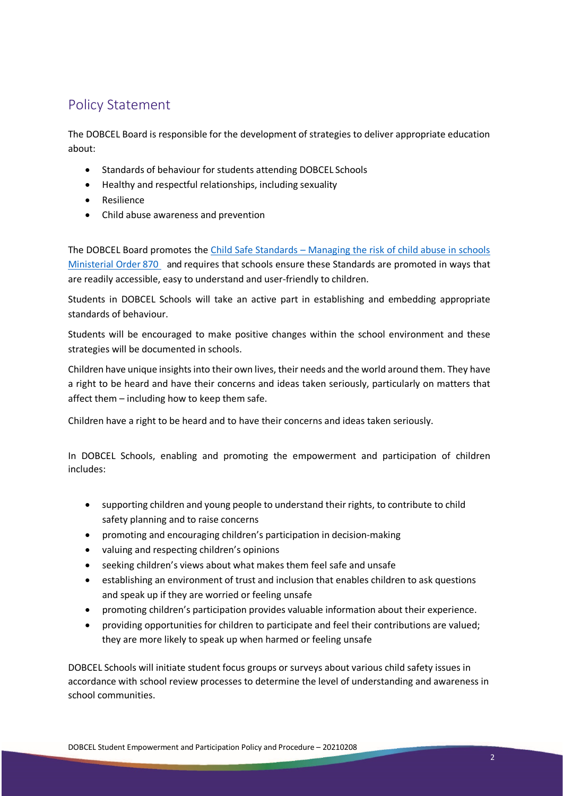## Policy Statement

The DOBCEL Board is responsible for the development of strategies to deliver appropriate education about:

- Standards of behaviour for students attending DOBCEL Schools
- Healthy and respectful relationships, including sexuality
- Resilience
- Child abuse awareness and prevention

The DOBCEL Board promotes the Child Safe Standards – Managing the risk of child abuse in schools Ministerial Order 870 and requires that schools ensure these Standards are promoted in ways that are readily accessible, easy to understand and user-friendly to children.

Students in DOBCEL Schools will take an active part in establishing and embedding appropriate standards of behaviour.

Students will be encouraged to make positive changes within the school environment and these strategies will be documented in schools.

Children have unique insights into their own lives, their needs and the world around them. They have a right to be heard and have their concerns and ideas taken seriously, particularly on matters that affect them – including how to keep them safe.

Children have a right to be heard and to have their concerns and ideas taken seriously.

In DOBCEL Schools, enabling and promoting the empowerment and participation of children includes:

- supporting children and young people to understand their rights, to contribute to child safety planning and to raise concerns
- promoting and encouraging children's participation in decision-making
- valuing and respecting children's opinions
- seeking children's views about what makes them feel safe and unsafe
- establishing an environment of trust and inclusion that enables children to ask questions and speak up if they are worried or feeling unsafe
- promoting children's participation provides valuable information about their experience.
- providing opportunities for children to participate and feel their contributions are valued; they are more likely to speak up when harmed or feeling unsafe

DOBCEL Schools will initiate student focus groups or surveys about various child safety issues in accordance with school review processes to determine the level of understanding and awareness in school communities.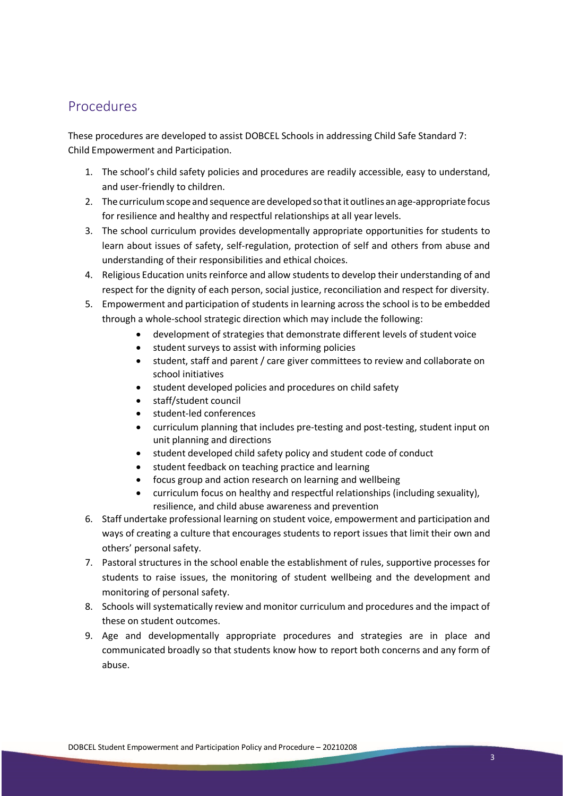## Procedures

These procedures are developed to assist DOBCEL Schools in addressing Child Safe Standard 7: Child Empowerment and Participation.

- 1. The school's child safety policies and procedures are readily accessible, easy to understand, and user-friendly to children.
- 2. The curriculum scope and sequence are developed so that it outlines an age-appropriate focus for resilience and healthy and respectful relationships at all year levels.
- 3. The school curriculum provides developmentally appropriate opportunities for students to learn about issues of safety, self-regulation, protection of self and others from abuse and understanding of their responsibilities and ethical choices.
- 4. Religious Education units reinforce and allow students to develop their understanding of and respect for the dignity of each person, social justice, reconciliation and respect for diversity.
- 5. Empowerment and participation of students in learning across the school is to be embedded through a whole-school strategic direction which may include the following:
	- development of strategies that demonstrate different levels of student voice
	- student surveys to assist with informing policies
	- student, staff and parent / care giver committees to review and collaborate on school initiatives
	- student developed policies and procedures on child safety
	- staff/student council
	- student-led conferences
	- curriculum planning that includes pre-testing and post-testing, student input on unit planning and directions
	- student developed child safety policy and student code of conduct
	- student feedback on teaching practice and learning
	- focus group and action research on learning and wellbeing
	- curriculum focus on healthy and respectful relationships (including sexuality), resilience, and child abuse awareness and prevention
- 6. Staff undertake professional learning on student voice, empowerment and participation and ways of creating a culture that encourages students to report issues that limit their own and others' personal safety.
- 7. Pastoral structures in the school enable the establishment of rules, supportive processes for students to raise issues, the monitoring of student wellbeing and the development and monitoring of personal safety.
- 8. Schools will systematically review and monitor curriculum and procedures and the impact of these on student outcomes.
- 9. Age and developmentally appropriate procedures and strategies are in place and communicated broadly so that students know how to report both concerns and any form of abuse.